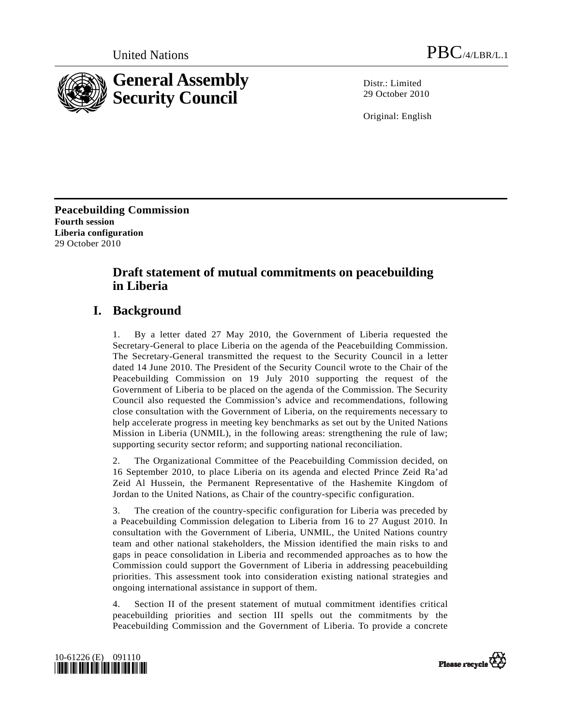

Distr · Limited 29 October 2010

Original: English

**Peacebuilding Commission Fourth session Liberia configuration**  29 October 2010

# **Draft statement of mutual commitments on peacebuilding in Liberia**

# **I. Background**

1. By a letter dated 27 May 2010, the Government of Liberia requested the Secretary-General to place Liberia on the agenda of the Peacebuilding Commission. The Secretary-General transmitted the request to the Security Council in a letter dated 14 June 2010. The President of the Security Council wrote to the Chair of the Peacebuilding Commission on 19 July 2010 supporting the request of the Government of Liberia to be placed on the agenda of the Commission. The Security Council also requested the Commission's advice and recommendations, following close consultation with the Government of Liberia, on the requirements necessary to help accelerate progress in meeting key benchmarks as set out by the United Nations Mission in Liberia (UNMIL), in the following areas: strengthening the rule of law; supporting security sector reform; and supporting national reconciliation.

2. The Organizational Committee of the Peacebuilding Commission decided, on 16 September 2010, to place Liberia on its agenda and elected Prince Zeid Ra'ad Zeid Al Hussein, the Permanent Representative of the Hashemite Kingdom of Jordan to the United Nations, as Chair of the country-specific configuration.

3. The creation of the country-specific configuration for Liberia was preceded by a Peacebuilding Commission delegation to Liberia from 16 to 27 August 2010. In consultation with the Government of Liberia, UNMIL, the United Nations country team and other national stakeholders, the Mission identified the main risks to and gaps in peace consolidation in Liberia and recommended approaches as to how the Commission could support the Government of Liberia in addressing peacebuilding priorities. This assessment took into consideration existing national strategies and ongoing international assistance in support of them.

4. Section II of the present statement of mutual commitment identifies critical peacebuilding priorities and section III spells out the commitments by the Peacebuilding Commission and the Government of Liberia. To provide a concrete



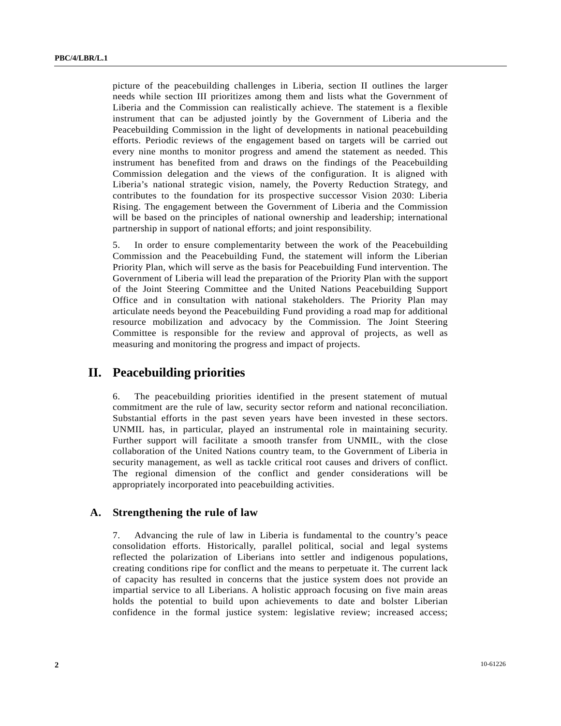picture of the peacebuilding challenges in Liberia, section II outlines the larger needs while section III prioritizes among them and lists what the Government of Liberia and the Commission can realistically achieve. The statement is a flexible instrument that can be adjusted jointly by the Government of Liberia and the Peacebuilding Commission in the light of developments in national peacebuilding efforts. Periodic reviews of the engagement based on targets will be carried out every nine months to monitor progress and amend the statement as needed. This instrument has benefited from and draws on the findings of the Peacebuilding Commission delegation and the views of the configuration. It is aligned with Liberia's national strategic vision, namely, the Poverty Reduction Strategy, and contributes to the foundation for its prospective successor Vision 2030: Liberia Rising. The engagement between the Government of Liberia and the Commission will be based on the principles of national ownership and leadership; international partnership in support of national efforts; and joint responsibility.

5. In order to ensure complementarity between the work of the Peacebuilding Commission and the Peacebuilding Fund, the statement will inform the Liberian Priority Plan, which will serve as the basis for Peacebuilding Fund intervention. The Government of Liberia will lead the preparation of the Priority Plan with the support of the Joint Steering Committee and the United Nations Peacebuilding Support Office and in consultation with national stakeholders. The Priority Plan may articulate needs beyond the Peacebuilding Fund providing a road map for additional resource mobilization and advocacy by the Commission. The Joint Steering Committee is responsible for the review and approval of projects, as well as measuring and monitoring the progress and impact of projects.

# **II. Peacebuilding priorities**

6. The peacebuilding priorities identified in the present statement of mutual commitment are the rule of law, security sector reform and national reconciliation. Substantial efforts in the past seven years have been invested in these sectors. UNMIL has, in particular, played an instrumental role in maintaining security. Further support will facilitate a smooth transfer from UNMIL, with the close collaboration of the United Nations country team, to the Government of Liberia in security management, as well as tackle critical root causes and drivers of conflict. The regional dimension of the conflict and gender considerations will be appropriately incorporated into peacebuilding activities.

## **A. Strengthening the rule of law**

7. Advancing the rule of law in Liberia is fundamental to the country's peace consolidation efforts. Historically, parallel political, social and legal systems reflected the polarization of Liberians into settler and indigenous populations, creating conditions ripe for conflict and the means to perpetuate it. The current lack of capacity has resulted in concerns that the justice system does not provide an impartial service to all Liberians. A holistic approach focusing on five main areas holds the potential to build upon achievements to date and bolster Liberian confidence in the formal justice system: legislative review; increased access;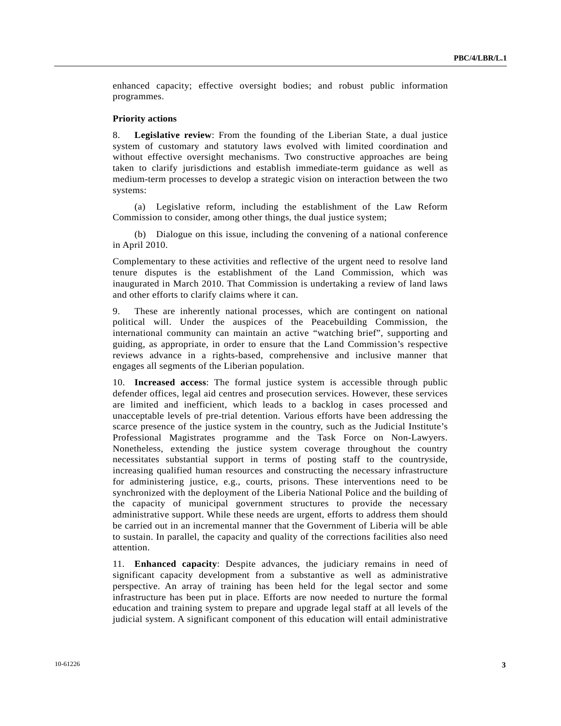enhanced capacity; effective oversight bodies; and robust public information programmes.

#### **Priority actions**

8. **Legislative review**: From the founding of the Liberian State, a dual justice system of customary and statutory laws evolved with limited coordination and without effective oversight mechanisms. Two constructive approaches are being taken to clarify jurisdictions and establish immediate-term guidance as well as medium-term processes to develop a strategic vision on interaction between the two systems:

 (a) Legislative reform, including the establishment of the Law Reform Commission to consider, among other things, the dual justice system;

 (b) Dialogue on this issue, including the convening of a national conference in April 2010.

Complementary to these activities and reflective of the urgent need to resolve land tenure disputes is the establishment of the Land Commission, which was inaugurated in March 2010. That Commission is undertaking a review of land laws and other efforts to clarify claims where it can.

9. These are inherently national processes, which are contingent on national political will. Under the auspices of the Peacebuilding Commission, the international community can maintain an active "watching brief", supporting and guiding, as appropriate, in order to ensure that the Land Commission's respective reviews advance in a rights-based, comprehensive and inclusive manner that engages all segments of the Liberian population.

10. **Increased access**: The formal justice system is accessible through public defender offices, legal aid centres and prosecution services. However, these services are limited and inefficient, which leads to a backlog in cases processed and unacceptable levels of pre-trial detention. Various efforts have been addressing the scarce presence of the justice system in the country, such as the Judicial Institute's Professional Magistrates programme and the Task Force on Non-Lawyers. Nonetheless, extending the justice system coverage throughout the country necessitates substantial support in terms of posting staff to the countryside, increasing qualified human resources and constructing the necessary infrastructure for administering justice, e.g., courts, prisons. These interventions need to be synchronized with the deployment of the Liberia National Police and the building of the capacity of municipal government structures to provide the necessary administrative support. While these needs are urgent, efforts to address them should be carried out in an incremental manner that the Government of Liberia will be able to sustain. In parallel, the capacity and quality of the corrections facilities also need attention.

11. **Enhanced capacity**: Despite advances, the judiciary remains in need of significant capacity development from a substantive as well as administrative perspective. An array of training has been held for the legal sector and some infrastructure has been put in place. Efforts are now needed to nurture the formal education and training system to prepare and upgrade legal staff at all levels of the judicial system. A significant component of this education will entail administrative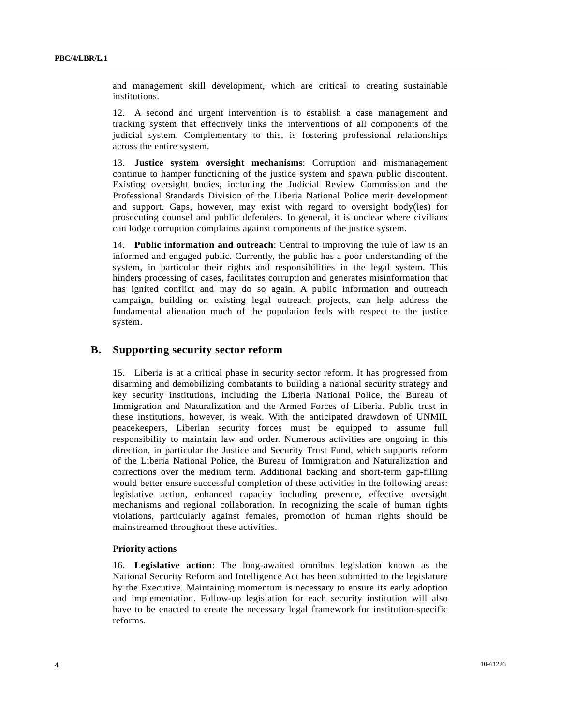and management skill development, which are critical to creating sustainable institutions.

12. A second and urgent intervention is to establish a case management and tracking system that effectively links the interventions of all components of the judicial system. Complementary to this, is fostering professional relationships across the entire system.

13. **Justice system oversight mechanisms**: Corruption and mismanagement continue to hamper functioning of the justice system and spawn public discontent. Existing oversight bodies, including the Judicial Review Commission and the Professional Standards Division of the Liberia National Police merit development and support. Gaps, however, may exist with regard to oversight body(ies) for prosecuting counsel and public defenders. In general, it is unclear where civilians can lodge corruption complaints against components of the justice system.

14. **Public information and outreach**: Central to improving the rule of law is an informed and engaged public. Currently, the public has a poor understanding of the system, in particular their rights and responsibilities in the legal system. This hinders processing of cases, facilitates corruption and generates misinformation that has ignited conflict and may do so again. A public information and outreach campaign, building on existing legal outreach projects, can help address the fundamental alienation much of the population feels with respect to the justice system.

### **B. Supporting security sector reform**

15. Liberia is at a critical phase in security sector reform. It has progressed from disarming and demobilizing combatants to building a national security strategy and key security institutions, including the Liberia National Police, the Bureau of Immigration and Naturalization and the Armed Forces of Liberia. Public trust in these institutions, however, is weak. With the anticipated drawdown of UNMIL peacekeepers, Liberian security forces must be equipped to assume full responsibility to maintain law and order. Numerous activities are ongoing in this direction, in particular the Justice and Security Trust Fund, which supports reform of the Liberia National Police, the Bureau of Immigration and Naturalization and corrections over the medium term. Additional backing and short-term gap-filling would better ensure successful completion of these activities in the following areas: legislative action, enhanced capacity including presence, effective oversight mechanisms and regional collaboration. In recognizing the scale of human rights violations, particularly against females, promotion of human rights should be mainstreamed throughout these activities.

#### **Priority actions**

16. **Legislative action**: The long-awaited omnibus legislation known as the National Security Reform and Intelligence Act has been submitted to the legislature by the Executive. Maintaining momentum is necessary to ensure its early adoption and implementation. Follow-up legislation for each security institution will also have to be enacted to create the necessary legal framework for institution-specific reforms.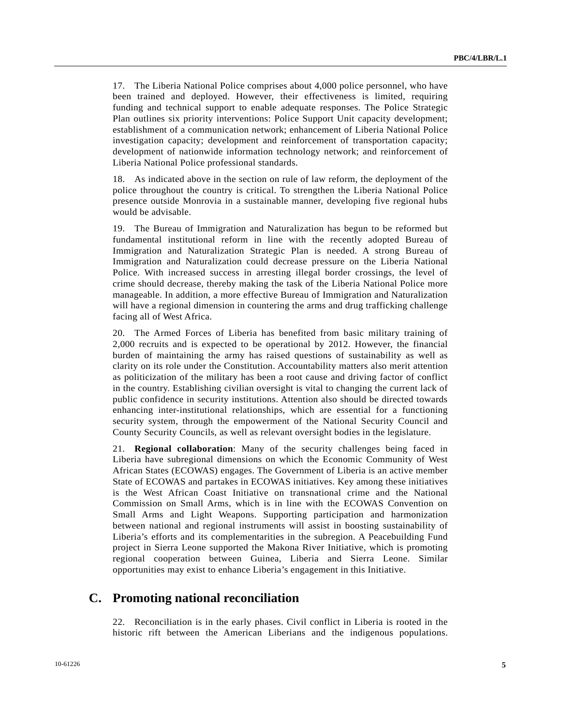17. The Liberia National Police comprises about 4,000 police personnel, who have been trained and deployed. However, their effectiveness is limited, requiring funding and technical support to enable adequate responses. The Police Strategic Plan outlines six priority interventions: Police Support Unit capacity development; establishment of a communication network; enhancement of Liberia National Police investigation capacity; development and reinforcement of transportation capacity; development of nationwide information technology network; and reinforcement of Liberia National Police professional standards.

18. As indicated above in the section on rule of law reform, the deployment of the police throughout the country is critical. To strengthen the Liberia National Police presence outside Monrovia in a sustainable manner, developing five regional hubs would be advisable.

19. The Bureau of Immigration and Naturalization has begun to be reformed but fundamental institutional reform in line with the recently adopted Bureau of Immigration and Naturalization Strategic Plan is needed. A strong Bureau of Immigration and Naturalization could decrease pressure on the Liberia National Police. With increased success in arresting illegal border crossings, the level of crime should decrease, thereby making the task of the Liberia National Police more manageable. In addition, a more effective Bureau of Immigration and Naturalization will have a regional dimension in countering the arms and drug trafficking challenge facing all of West Africa.

20. The Armed Forces of Liberia has benefited from basic military training of 2,000 recruits and is expected to be operational by 2012. However, the financial burden of maintaining the army has raised questions of sustainability as well as clarity on its role under the Constitution. Accountability matters also merit attention as politicization of the military has been a root cause and driving factor of conflict in the country. Establishing civilian oversight is vital to changing the current lack of public confidence in security institutions. Attention also should be directed towards enhancing inter-institutional relationships, which are essential for a functioning security system, through the empowerment of the National Security Council and County Security Councils, as well as relevant oversight bodies in the legislature.

21. **Regional collaboration**: Many of the security challenges being faced in Liberia have subregional dimensions on which the Economic Community of West African States (ECOWAS) engages. The Government of Liberia is an active member State of ECOWAS and partakes in ECOWAS initiatives. Key among these initiatives is the West African Coast Initiative on transnational crime and the National Commission on Small Arms, which is in line with the ECOWAS Convention on Small Arms and Light Weapons. Supporting participation and harmonization between national and regional instruments will assist in boosting sustainability of Liberia's efforts and its complementarities in the subregion. A Peacebuilding Fund project in Sierra Leone supported the Makona River Initiative, which is promoting regional cooperation between Guinea, Liberia and Sierra Leone. Similar opportunities may exist to enhance Liberia's engagement in this Initiative.

## **C. Promoting national reconciliation**

22. Reconciliation is in the early phases. Civil conflict in Liberia is rooted in the historic rift between the American Liberians and the indigenous populations.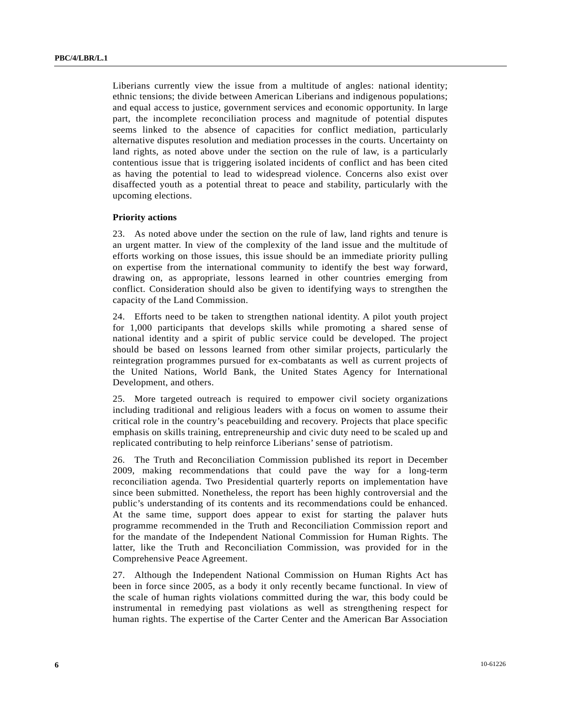Liberians currently view the issue from a multitude of angles: national identity; ethnic tensions; the divide between American Liberians and indigenous populations; and equal access to justice, government services and economic opportunity. In large part, the incomplete reconciliation process and magnitude of potential disputes seems linked to the absence of capacities for conflict mediation, particularly alternative disputes resolution and mediation processes in the courts. Uncertainty on land rights, as noted above under the section on the rule of law, is a particularly contentious issue that is triggering isolated incidents of conflict and has been cited as having the potential to lead to widespread violence. Concerns also exist over disaffected youth as a potential threat to peace and stability, particularly with the upcoming elections.

#### **Priority actions**

23. As noted above under the section on the rule of law, land rights and tenure is an urgent matter. In view of the complexity of the land issue and the multitude of efforts working on those issues, this issue should be an immediate priority pulling on expertise from the international community to identify the best way forward, drawing on, as appropriate, lessons learned in other countries emerging from conflict. Consideration should also be given to identifying ways to strengthen the capacity of the Land Commission.

24. Efforts need to be taken to strengthen national identity. A pilot youth project for 1,000 participants that develops skills while promoting a shared sense of national identity and a spirit of public service could be developed. The project should be based on lessons learned from other similar projects, particularly the reintegration programmes pursued for ex-combatants as well as current projects of the United Nations, World Bank, the United States Agency for International Development, and others.

25. More targeted outreach is required to empower civil society organizations including traditional and religious leaders with a focus on women to assume their critical role in the country's peacebuilding and recovery. Projects that place specific emphasis on skills training, entrepreneurship and civic duty need to be scaled up and replicated contributing to help reinforce Liberians' sense of patriotism.

26. The Truth and Reconciliation Commission published its report in December 2009, making recommendations that could pave the way for a long-term reconciliation agenda. Two Presidential quarterly reports on implementation have since been submitted. Nonetheless, the report has been highly controversial and the public's understanding of its contents and its recommendations could be enhanced. At the same time, support does appear to exist for starting the palaver huts programme recommended in the Truth and Reconciliation Commission report and for the mandate of the Independent National Commission for Human Rights. The latter, like the Truth and Reconciliation Commission, was provided for in the Comprehensive Peace Agreement.

27. Although the Independent National Commission on Human Rights Act has been in force since 2005, as a body it only recently became functional. In view of the scale of human rights violations committed during the war, this body could be instrumental in remedying past violations as well as strengthening respect for human rights. The expertise of the Carter Center and the American Bar Association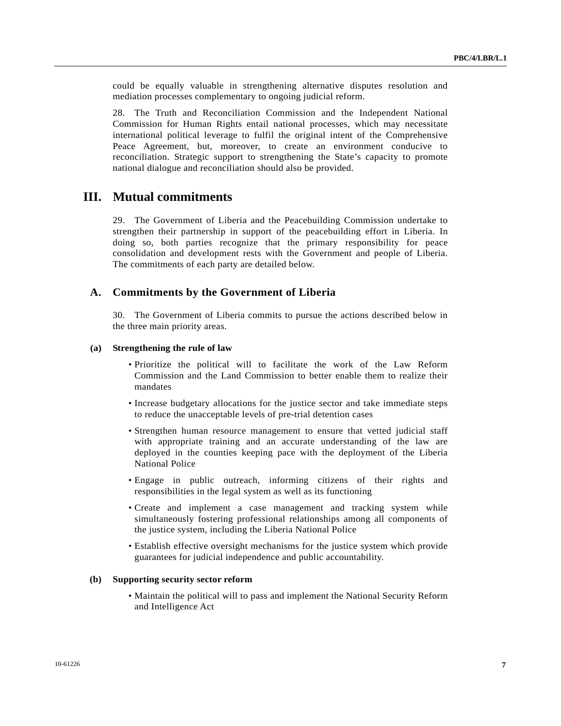could be equally valuable in strengthening alternative disputes resolution and mediation processes complementary to ongoing judicial reform.

28. The Truth and Reconciliation Commission and the Independent National Commission for Human Rights entail national processes, which may necessitate international political leverage to fulfil the original intent of the Comprehensive Peace Agreement, but, moreover, to create an environment conducive to reconciliation. Strategic support to strengthening the State's capacity to promote national dialogue and reconciliation should also be provided.

## **III. Mutual commitments**

29. The Government of Liberia and the Peacebuilding Commission undertake to strengthen their partnership in support of the peacebuilding effort in Liberia. In doing so, both parties recognize that the primary responsibility for peace consolidation and development rests with the Government and people of Liberia. The commitments of each party are detailed below.

### **A. Commitments by the Government of Liberia**

30. The Government of Liberia commits to pursue the actions described below in the three main priority areas.

#### **(a) Strengthening the rule of law**

- Prioritize the political will to facilitate the work of the Law Reform Commission and the Land Commission to better enable them to realize their mandates
- Increase budgetary allocations for the justice sector and take immediate steps to reduce the unacceptable levels of pre-trial detention cases
- Strengthen human resource management to ensure that vetted judicial staff with appropriate training and an accurate understanding of the law are deployed in the counties keeping pace with the deployment of the Liberia National Police
- Engage in public outreach, informing citizens of their rights and responsibilities in the legal system as well as its functioning
- Create and implement a case management and tracking system while simultaneously fostering professional relationships among all components of the justice system, including the Liberia National Police
- Establish effective oversight mechanisms for the justice system which provide guarantees for judicial independence and public accountability.

#### **(b) Supporting security sector reform**

 • Maintain the political will to pass and implement the National Security Reform and Intelligence Act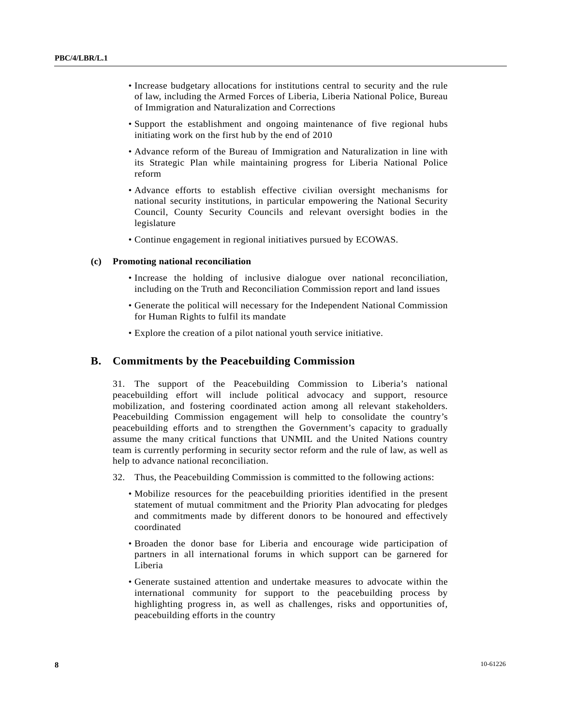- Increase budgetary allocations for institutions central to security and the rule of law, including the Armed Forces of Liberia, Liberia National Police, Bureau of Immigration and Naturalization and Corrections
- Support the establishment and ongoing maintenance of five regional hubs initiating work on the first hub by the end of 2010
- Advance reform of the Bureau of Immigration and Naturalization in line with its Strategic Plan while maintaining progress for Liberia National Police reform
- Advance efforts to establish effective civilian oversight mechanisms for national security institutions, in particular empowering the National Security Council, County Security Councils and relevant oversight bodies in the legislature
- Continue engagement in regional initiatives pursued by ECOWAS.

#### **(c) Promoting national reconciliation**

- Increase the holding of inclusive dialogue over national reconciliation, including on the Truth and Reconciliation Commission report and land issues
- Generate the political will necessary for the Independent National Commission for Human Rights to fulfil its mandate
- Explore the creation of a pilot national youth service initiative.

### **B. Commitments by the Peacebuilding Commission**

31. The support of the Peacebuilding Commission to Liberia's national peacebuilding effort will include political advocacy and support, resource mobilization, and fostering coordinated action among all relevant stakeholders. Peacebuilding Commission engagement will help to consolidate the country's peacebuilding efforts and to strengthen the Government's capacity to gradually assume the many critical functions that UNMIL and the United Nations country team is currently performing in security sector reform and the rule of law, as well as help to advance national reconciliation.

- 32. Thus, the Peacebuilding Commission is committed to the following actions:
	- Mobilize resources for the peacebuilding priorities identified in the present statement of mutual commitment and the Priority Plan advocating for pledges and commitments made by different donors to be honoured and effectively coordinated
	- Broaden the donor base for Liberia and encourage wide participation of partners in all international forums in which support can be garnered for Liberia
	- Generate sustained attention and undertake measures to advocate within the international community for support to the peacebuilding process by highlighting progress in, as well as challenges, risks and opportunities of, peacebuilding efforts in the country